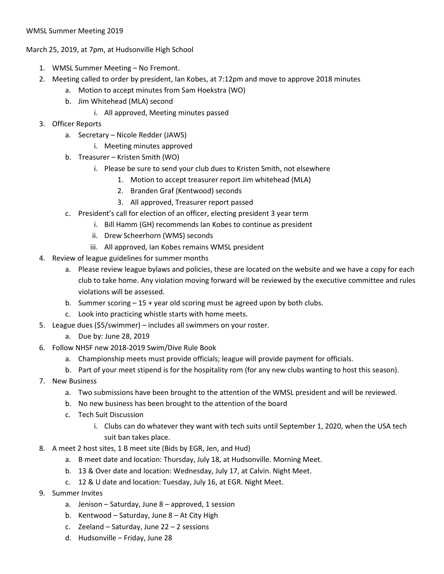## WMSL Summer Meeting 2019

March 25, 2019, at 7pm, at Hudsonville High School

- 1. WMSL Summer Meeting No Fremont.
- 2. Meeting called to order by president, Ian Kobes, at 7:12pm and move to approve 2018 minutes
	- a. Motion to accept minutes from Sam Hoekstra (WO)
	- b. Jim Whitehead (MLA) second
		- i. All approved, Meeting minutes passed
- 3. Officer Reports
	- a. Secretary Nicole Redder (JAWS)
		- i. Meeting minutes approved
	- b. Treasurer Kristen Smith (WO)
		- i. Please be sure to send your club dues to Kristen Smith, not elsewhere
			- 1. Motion to accept treasurer report Jim whitehead (MLA)
			- 2. Branden Graf (Kentwood) seconds
			- 3. All approved, Treasurer report passed
	- c. President's call for election of an officer, electing president 3 year term
		- i. Bill Hamm (GH) recommends Ian Kobes to continue as president
		- ii. Drew Scheerhorn (WMS) seconds
		- iii. All approved, Ian Kobes remains WMSL president
- 4. Review of league guidelines for summer months
	- a. Please review league bylaws and policies, these are located on the website and we have a copy for each club to take home. Any violation moving forward will be reviewed by the executive committee and rules violations will be assessed.
	- b. Summer scoring  $-15 +$  year old scoring must be agreed upon by both clubs.
	- c. Look into practicing whistle starts with home meets.
- 5. League dues (\$5/swimmer) includes all swimmers on your roster.
	- a. Due by: June 28, 2019
- 6. Follow NHSF new 2018-2019 Swim/Dive Rule Book
	- a. Championship meets must provide officials; league will provide payment for officials.
	- b. Part of your meet stipend is for the hospitality rom (for any new clubs wanting to host this season).
- 7. New Business
	- a. Two submissions have been brought to the attention of the WMSL president and will be reviewed.
	- b. No new business has been brought to the attention of the board
	- c. Tech Suit Discussion
		- i. Clubs can do whatever they want with tech suits until September 1, 2020, when the USA tech suit ban takes place.
- 8. A meet 2 host sites, 1 B meet site (Bids by EGR, Jen, and Hud)
	- a. B meet date and location: Thursday, July 18, at Hudsonville. Morning Meet.
	- b. 13 & Over date and location: Wednesday, July 17, at Calvin. Night Meet.
	- c. 12 & U date and location: Tuesday, July 16, at EGR. Night Meet.
- 9. Summer Invites
	- a. Jenison Saturday, June 8 approved, 1 session
	- b. Kentwood Saturday, June 8 At City High
	- c. Zeeland Saturday, June 22 2 sessions
	- d. Hudsonville Friday, June 28